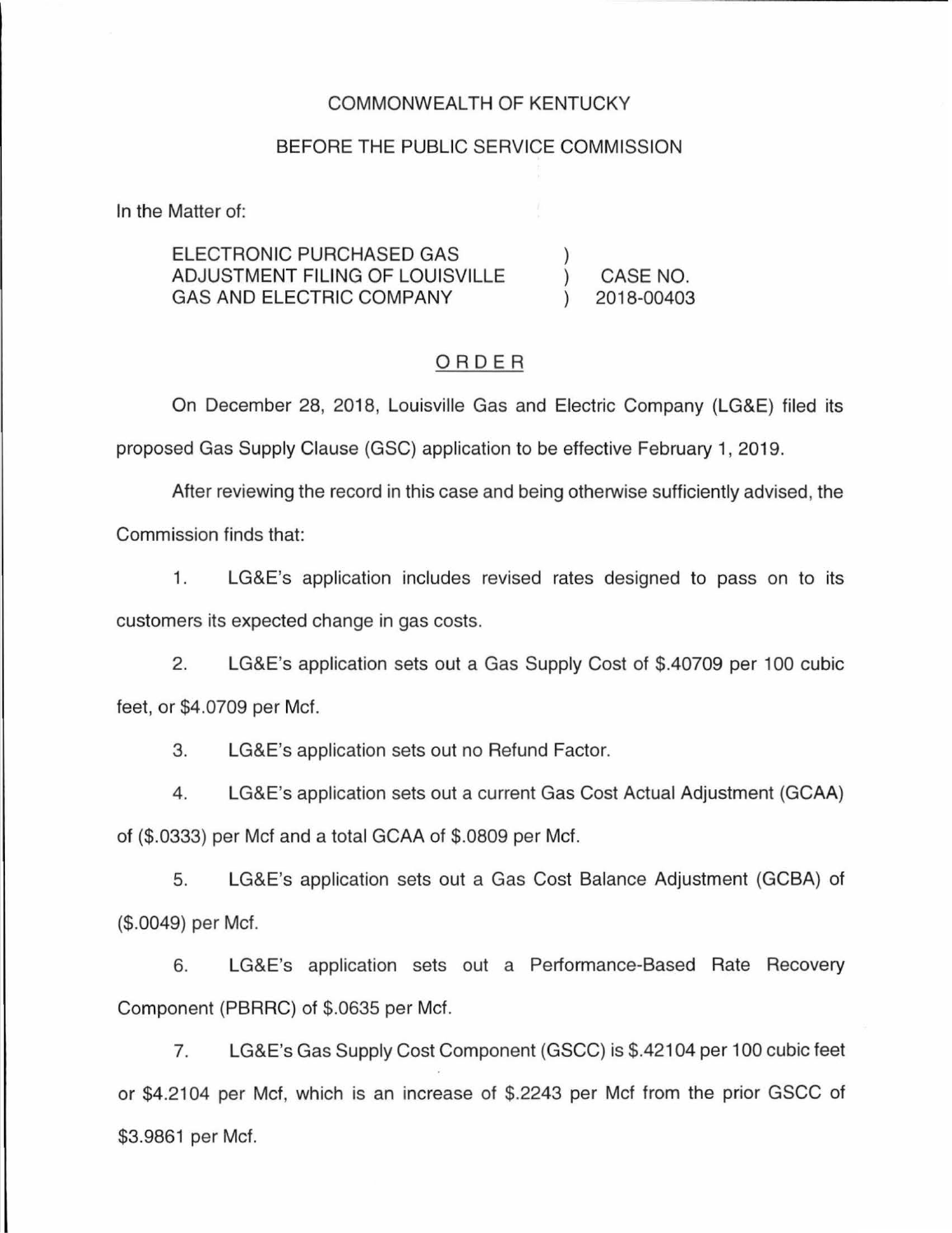### COMMONWEALTH OF KENTUCKY

#### BEFORE THE PUBLIC SERVICE COMMISSION

In the Matter of:

ELECTRONIC PURCHASED GAS ADJUSTMENT FILING OF LOUISVILLE GAS AND ELECTRIC COMPANY CASE NO. 2018-00403

### ORDER

On December 28, 2018, Louisville Gas and Electric Company (LG&E) filed its proposed Gas Supply Clause (GSC) application to be effective February 1, 2019.

After reviewing the record in this case and being otherwise sufficiently advised, the Commission finds that:

1. LG&E's application includes revised rates designed to pass on to its customers its expected change in gas costs.

2. LG&E's application sets out a Gas Supply Cost of \$.40709 per 100 cubic feet, or \$4.0709 per Mcf.

3. LG&E's application sets out no Refund Factor.

4. LG&E's application sets out a current Gas Cost Actual Adjustment (GCAA) of (\$.0333) per Mcf and a total GCAA of \$.0809 per Mcf.

5. LG&E's application sets out a Gas Cost Balance Adjustment (GCBA) of (\$.0049) per Mcf.

6. LG&E's application sets out a Performance-Based Rate Recovery Component (PBRRC) of \$.0635 per Mcf.

7. LG&E's Gas Supply Cost Component (GSCC) is \$.42104 per 100 cubic feet or \$4.2104 per Mcf, which is an increase of \$.2243 per Mcf from the prior GSCC of \$3.9861 per Mcf.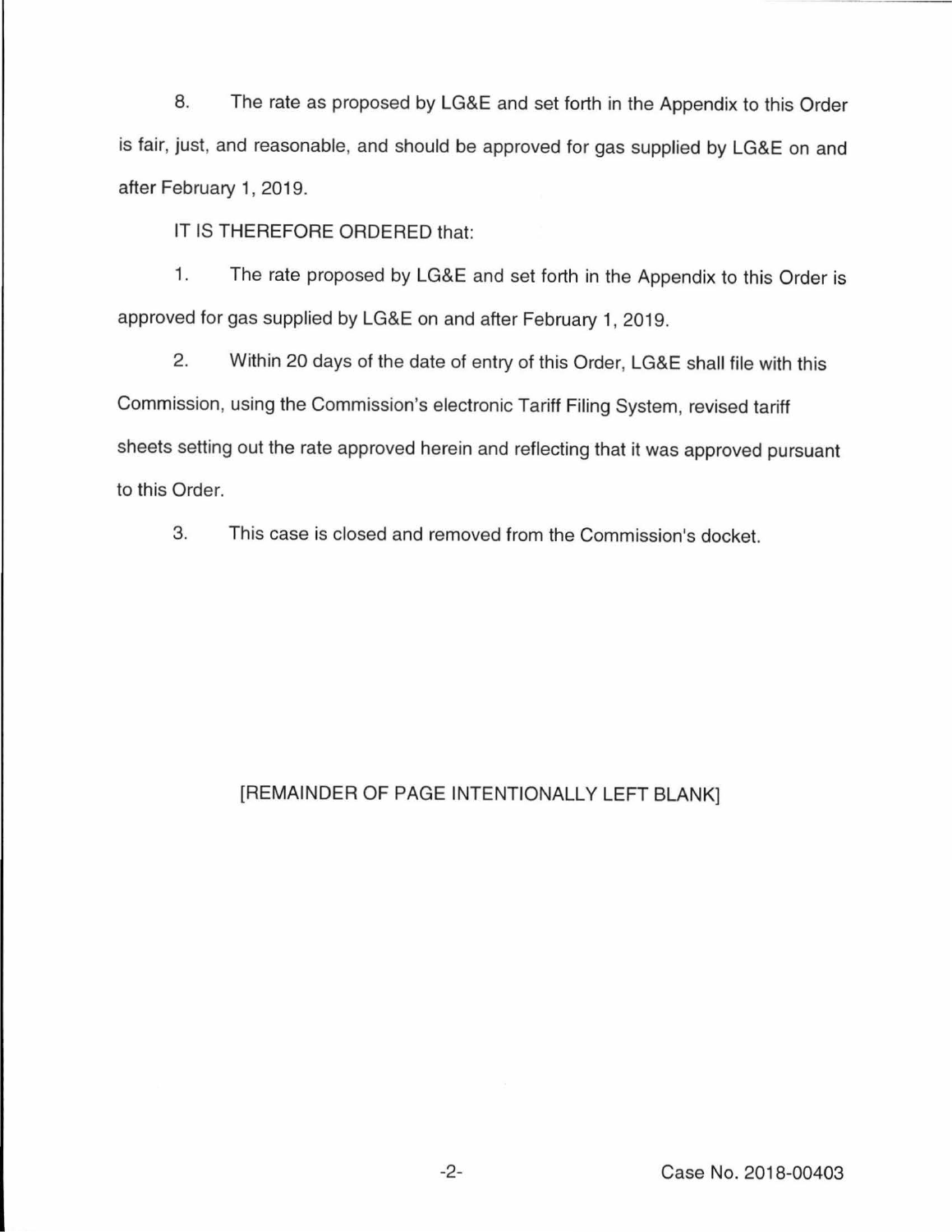8. The rate as proposed by LG&E and set forth in the Appendix to this Order is fair, just, and reasonable, and should be approved for gas supplied by LG&E on and after February 1, 2019.

IT IS THEREFORE ORDERED that:

1. The rate proposed by LG&E and set forth in the Appendix to this Order is approved for gas supplied by LG&E on and after February 1, 2019.

2. Within 20 days of the date of entry of this Order, LG&E shall file with this Commission, using the Commission's electronic Tariff Filing System, revised tariff sheets setting out the rate approved herein and reflecting that it was approved pursuant to this Order.

3. This case is closed and removed from the Commission's docket.

# [REMAINDER OF PAGE INTENTIONALLY LEFT BLANK]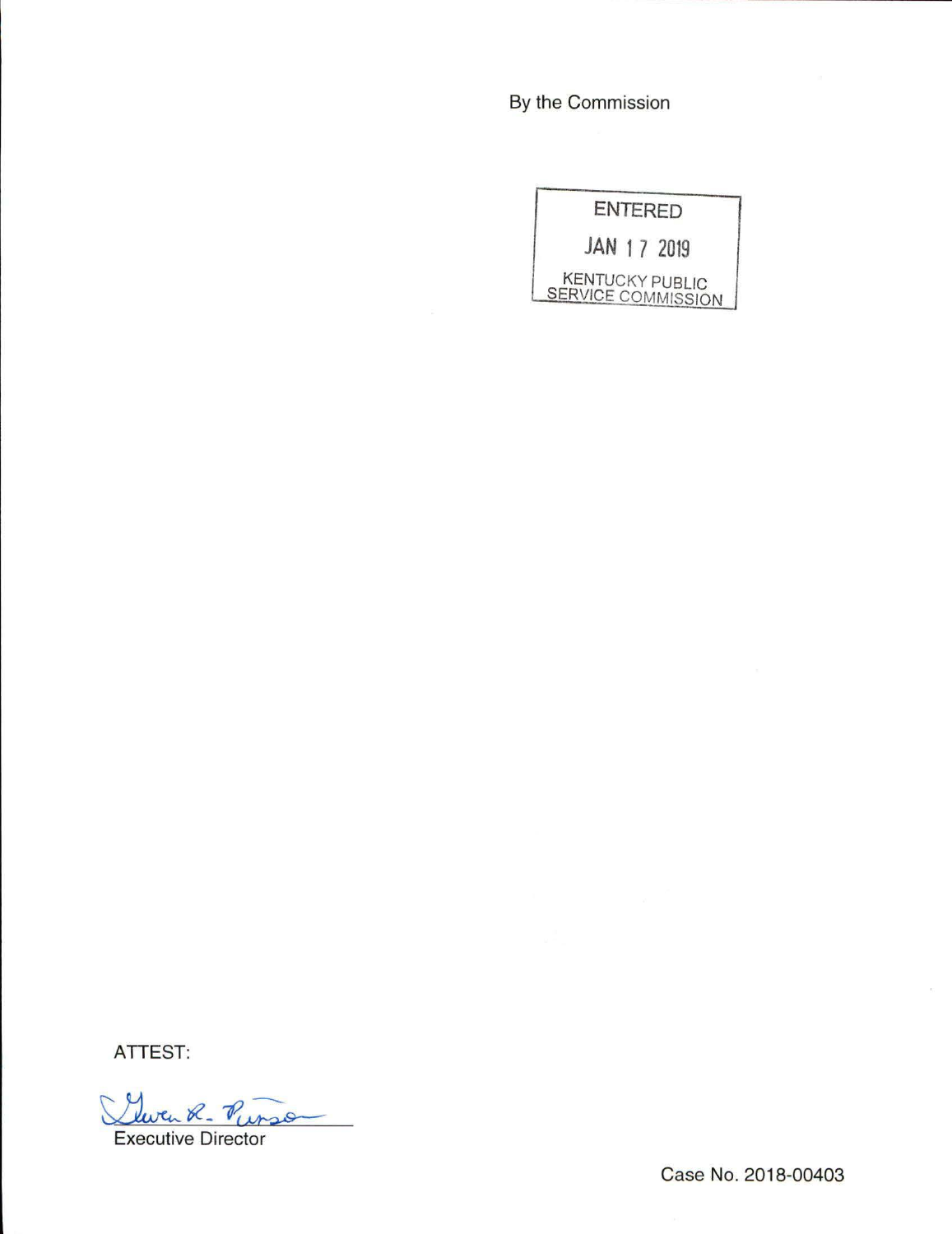By the Commission

|                                              |  | <b>ENTERED</b> |
|----------------------------------------------|--|----------------|
|                                              |  | JAN 1 7 2019   |
| <b>KENTUCKY PUBLIC</b><br>SERVICE COMMISSION |  |                |

**ATTEST:** 

Yuven R. Punso

Case No. 2018-00403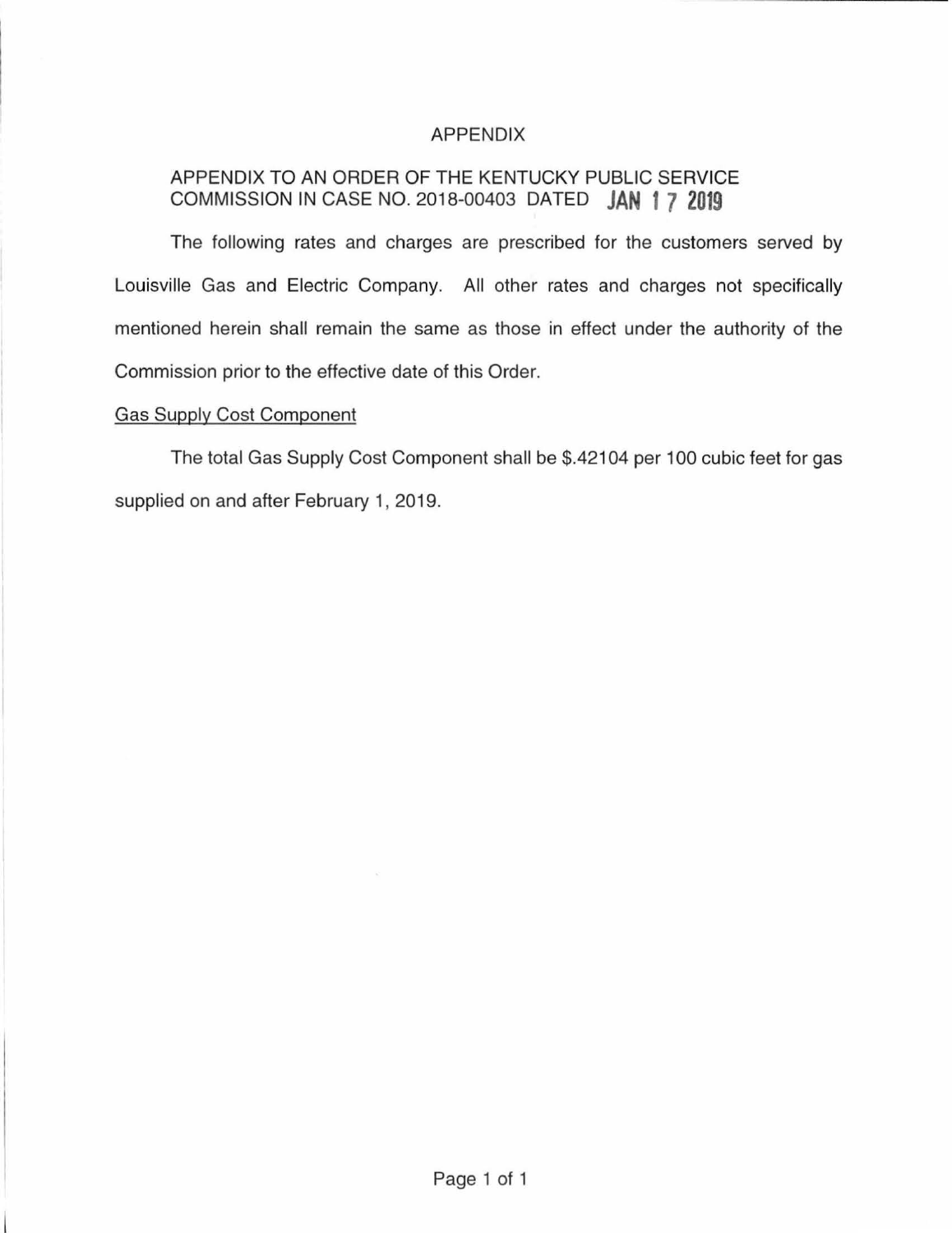### APPENDIX

## APPENDIX TO AN ORDER OF THE KENTUCKY PUBLIC SERVICE COMMISSION IN CASE NO. 2018-00403 DATED **JAN 1 7 2019**

The following rates and charges are prescribed for the customers served by Louisville Gas and Electric Company. All other rates and charges not specifically mentioned herein shall remain the same as those in effect under the authority of the Commission prior to the effective date of this Order.

## Gas Supply Cost Component

The total Gas Supply Cost Component shall be \$.42104 per 100 cubic feet for gas supplied on and after February 1, 2019.